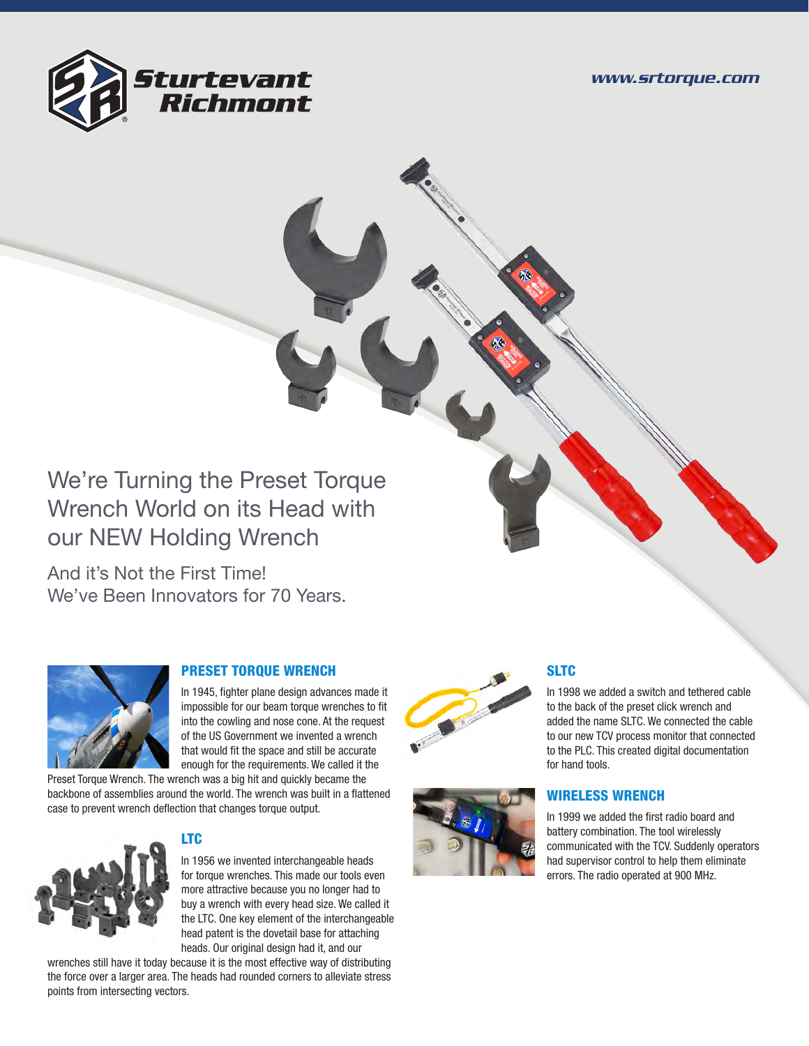

# We're Turning the Preset Torque Wrench World on its Head with our NEW Holding Wrench

And it's Not the First Time! We've Been Innovators for 70 Years.



## PRESET TORQUE WRENCH

In 1945, fighter plane design advances made it impossible for our beam torque wrenches to fit into the cowling and nose cone. At the request of the US Government we invented a wrench that would fit the space and still be accurate enough for the requirements. We called it the

Preset Torque Wrench. The wrench was a big hit and quickly became the backbone of assemblies around the world. The wrench was built in a flattened case to prevent wrench deflection that changes torque output.



## LTC

In 1956 we invented interchangeable heads for torque wrenches. This made our tools even more attractive because you no longer had to buy a wrench with every head size. We called it the LTC. One key element of the interchangeable head patent is the dovetail base for attaching heads. Our original design had it, and our

wrenches still have it today because it is the most effective way of distributing the force over a larger area. The heads had rounded corners to alleviate stress points from intersecting vectors.





## **SLTC**

In 1998 we added a switch and tethered cable to the back of the preset click wrench and added the name SLTC. We connected the cable to our new TCV process monitor that connected to the PLC. This created digital documentation for hand tools.

## WIRELESS WRENCH

In 1999 we added the first radio board and battery combination. The tool wirelessly communicated with the TCV. Suddenly operators had supervisor control to help them eliminate errors. The radio operated at 900 MHz.